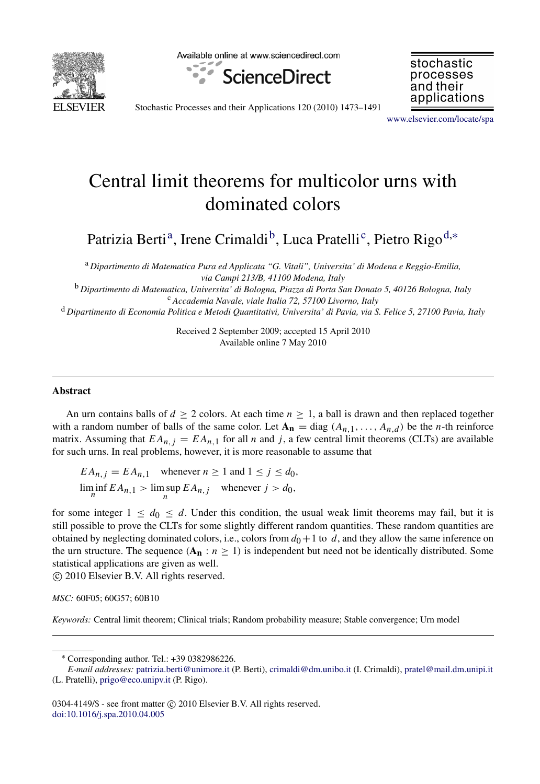

Available online at www.sciencedirect.com



stochastic processes and their applications

Stochastic Processes and their Applications 120 (2010) 1473–1491

[www.elsevier.com/locate/spa](http://www.elsevier.com/locate/spa)

# Central limit theorems for multicolor urns with dominated colors

P[a](#page-0-0)trizia Berti<sup>a</sup>, Irene Crimaldi<sup>[b](#page-0-1)</sup>, Lu[c](#page-0-2)a Pratelli<sup>c</sup>, Pietro Rigo<sup>[d,](#page-0-3)\*</sup>

<span id="page-0-0"></span><sup>a</sup> *Dipartimento di Matematica Pura ed Applicata "G. Vitali", Universita' di Modena e Reggio-Emilia, via Campi 213/B, 41100 Modena, Italy*

<span id="page-0-1"></span><sup>b</sup> *Dipartimento di Matematica, Universita' di Bologna, Piazza di Porta San Donato 5, 40126 Bologna, Italy* <sup>c</sup> *Accademia Navale, viale Italia 72, 57100 Livorno, Italy*

<span id="page-0-3"></span><sup>d</sup> *Dipartimento di Economia Politica e Metodi Quantitativi, Universita' di Pavia, via S. Felice 5, 27100 Pavia, Italy*

<span id="page-0-2"></span>Received 2 September 2009; accepted 15 April 2010 Available online 7 May 2010

## Abstract

An urn contains balls of  $d \ge 2$  colors. At each time  $n \ge 1$ , a ball is drawn and then replaced together with a random number of balls of the same color. Let  $A_n = \text{diag}(A_{n,1}, \ldots, A_{n,d})$  be the *n*-th reinforce matrix. Assuming that  $EA_{n,j} = EA_{n,1}$  for all *n* and *j*, a few central limit theorems (CLTs) are available for such urns. In real problems, however, it is more reasonable to assume that

 $EA_{n,j} = EA_{n,1}$  whenever  $n \ge 1$  and  $1 \le j \le d_0$ ,  $\liminf_{n} E A_{n,1} > \limsup_{n} E A_{n,j}$  whenever  $j > d_0$ , *n*

for some integer  $1 \leq d_0 \leq d$ . Under this condition, the usual weak limit theorems may fail, but it is still possible to prove the CLTs for some slightly different random quantities. These random quantities are obtained by neglecting dominated colors, i.e., colors from  $d_0 + 1$  to  $d$ , and they allow the same inference on the urn structure. The sequence ( $A_n : n \ge 1$ ) is independent but need not be identically distributed. Some statistical applications are given as well.

c 2010 Elsevier B.V. All rights reserved.

*MSC:* 60F05; 60G57; 60B10

*Keywords:* Central limit theorem; Clinical trials; Random probability measure; Stable convergence; Urn model

 $0304-4149$ /\$ - see front matter  $\circled{c}$  2010 Elsevier B.V. All rights reserved. [doi:10.1016/j.spa.2010.04.005](http://dx.doi.org/10.1016/j.spa.2010.04.005)

<span id="page-0-4"></span><sup>∗</sup> Corresponding author. Tel.: +39 0382986226.

*E-mail addresses:* [patrizia.berti@unimore.it](mailto:patrizia.berti@unimore.it) (P. Berti), [crimaldi@dm.unibo.it](mailto:crimaldi@dm.unibo.it) (I. Crimaldi), [pratel@mail.dm.unipi.it](mailto:pratel@mail.dm.unipi.it) (L. Pratelli), [prigo@eco.unipv.it](mailto:prigo@eco.unipv.it) (P. Rigo).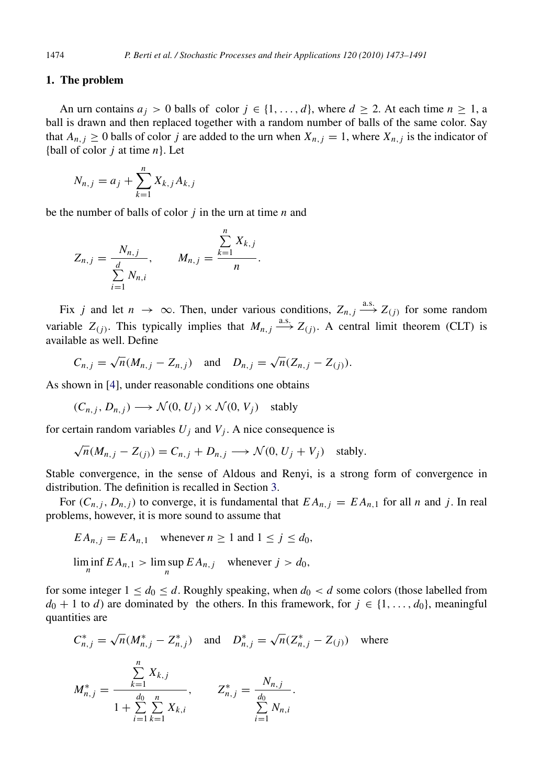## <span id="page-1-0"></span>1. The problem

An urn contains  $a_j > 0$  balls of color  $j \in \{1, ..., d\}$ , where  $d \ge 2$ . At each time  $n \ge 1$ , a ball is drawn and then replaced together with a random number of balls of the same color. Say that  $A_{n,j} \geq 0$  balls of color *j* are added to the urn when  $X_{n,j} = 1$ , where  $X_{n,j}$  is the indicator of {ball of color *j* at time *n*}. Let

$$
N_{n,j} = a_j + \sum_{k=1}^{n} X_{k,j} A_{k,j}
$$

be the number of balls of color *j* in the urn at time *n* and

$$
Z_{n,j} = \frac{N_{n,j}}{\sum_{i=1}^d N_{n,i}}, \qquad M_{n,j} = \frac{\sum_{k=1}^n X_{k,j}}{n}.
$$

Fix *j* and let  $n \to \infty$ . Then, under various conditions,  $Z_{n,j} \xrightarrow{a.s.} Z_{(j)}$  for some random variable  $Z_{(j)}$ . This typically implies that  $M_{n,j} \xrightarrow{a.s.} Z_{(j)}$ . A central limit theorem (CLT) is available as well. Define

$$
C_{n,j} = \sqrt{n}(M_{n,j} - Z_{n,j})
$$
 and  $D_{n,j} = \sqrt{n}(Z_{n,j} - Z_{(j)}).$ 

P*n*

As shown in [\[4\]](#page-17-0), under reasonable conditions one obtains

$$
(C_{n,j}, D_{n,j}) \longrightarrow \mathcal{N}(0, U_j) \times \mathcal{N}(0, V_j) \text{ stably}
$$

for certain random variables  $U_j$  and  $V_j$ . A nice consequence is

$$
\sqrt{n}(M_{n,j} - Z_{(j)}) = C_{n,j} + D_{n,j} \longrightarrow \mathcal{N}(0, U_j + V_j) \text{ stably.}
$$

Stable convergence, in the sense of Aldous and Renyi, is a strong form of convergence in distribution. The definition is recalled in Section [3.](#page-3-0)

For  $(C_{n,j}, D_{n,j})$  to converge, it is fundamental that  $EA_{n,j} = EA_{n,1}$  for all *n* and *j*. In real problems, however, it is more sound to assume that

$$
EA_{n,j} = EA_{n,1} \quad \text{whenever } n \ge 1 \text{ and } 1 \le j \le d_0,
$$
  

$$
\liminf_{n} EA_{n,1} > \limsup_{n} EA_{n,j} \quad \text{whenever } j > d_0,
$$

for some integer  $1 \le d_0 \le d$ . Roughly speaking, when  $d_0 < d$  some colors (those labelled from  $d_0 + 1$  to *d*) are dominated by the others. In this framework, for  $j \in \{1, \ldots, d_0\}$ , meaningful quantities are

$$
C_{n,j}^{*} = \sqrt{n} (M_{n,j}^{*} - Z_{n,j}^{*}) \text{ and } D_{n,j}^{*} = \sqrt{n} (Z_{n,j}^{*} - Z_{(j)}) \text{ where}
$$
  

$$
M_{n,j}^{*} = \frac{\sum_{k=1}^{n} X_{k,j}}{1 + \sum_{i=1}^{d_0} \sum_{k=1}^{n} X_{k,i}}, \qquad Z_{n,j}^{*} = \frac{N_{n,j}}{\sum_{i=1}^{d_0} N_{n,i}}.
$$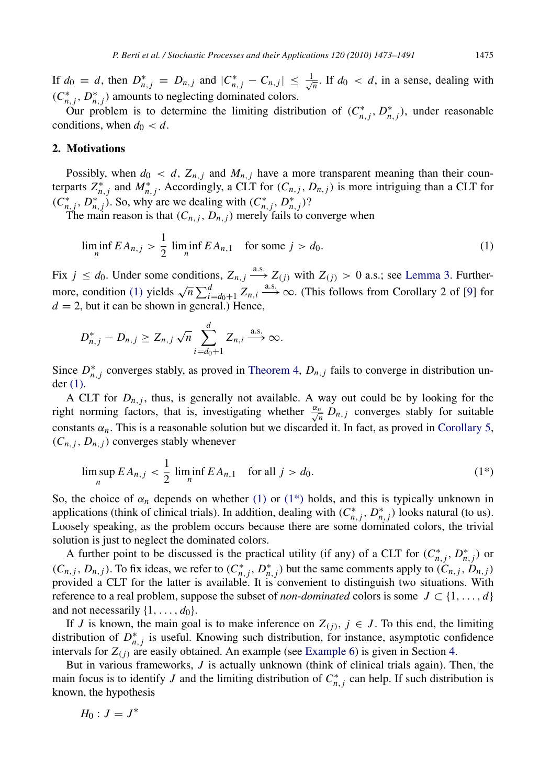If  $d_0 = d$ , then  $D_{n,j}^* = D_{n,j}$  and  $|C_{n,j}^* - C_{n,j}| \leq \frac{1}{\sqrt{n}}$  $\frac{1}{n}$ . If  $d_0 < d$ , in a sense, dealing with  $(C_{n,j}^*, D_{n,j}^*)$  amounts to neglecting dominated colors.

Our problem is to determine the limiting distribution of  $(C_{n,j}^*, D_{n,j}^*)$ , under reasonable conditions, when  $d_0 < d$ .

## <span id="page-2-2"></span>2. Motivations

Possibly, when  $d_0 < d$ ,  $Z_{n,j}$  and  $M_{n,j}$  have a more transparent meaning than their counterparts  $Z_{n,j}^*$  and  $M_{n,j}^*$ . Accordingly, a CLT for  $(C_{n,j}, D_{n,j})$  is more intriguing than a CLT for  $(C_{n,j}^*, D_{n,j}^*)$ . So, why are we dealing with  $(C_{n,j}^*, D_{n,j}^*)$ ?

The main reason is that  $(C_{n,j}, D_{n,j})$  merely fails to converge when

<span id="page-2-0"></span>
$$
\liminf_{n} E A_{n,j} > \frac{1}{2} \liminf_{n} E A_{n,1} \quad \text{for some } j > d_0.
$$
 (1)

Fix  $j \leq d_0$ . Under some conditions,  $Z_{n,j} \stackrel{\text{a.s.}}{\longrightarrow} Z_{(j)}$  with  $Z_{(j)} > 0$  a.s.; see [Lemma 3.](#page-4-0) Further-more, condition [\(1\)](#page-2-0) yields  $\sqrt{n} \sum_{i=d_0+1}^{d} Z_{n,i} \xrightarrow{a.s.} \infty$ . (This follows from Corollary 2 of [\[9\]](#page-18-0) for  $d = 2$ , but it can be shown in general.) Hence,

$$
D_{n,j}^* - D_{n,j} \ge Z_{n,j} \sqrt{n} \sum_{i=d_0+1}^d Z_{n,i} \stackrel{\text{a.s.}}{\longrightarrow} \infty.
$$

Since  $D_{n,j}^*$  converges stably, as proved in [Theorem 4,](#page-5-0)  $D_{n,j}$  fails to converge in distribution under [\(1\).](#page-2-0)

A CLT for  $D_{n,j}$ , thus, is generally not available. A way out could be by looking for the right norming factors, that is, investigating whether  $\frac{\alpha_n}{\sqrt{n}}$  $\frac{n}{n}$  *D*<sub>*n*</sub>,*j* converges stably for suitable constants  $\alpha_n$ . This is a reasonable solution but we discarded it. In fact, as proved in [Corollary 5,](#page-6-0)  $(C_{n,j}, D_{n,j})$  converges stably whenever

<span id="page-2-1"></span>
$$
\limsup_{n} EA_{n,j} < \frac{1}{2} \liminf_{n} EA_{n,1} \quad \text{for all } j > d_0. \tag{1*}
$$

So, the choice of  $\alpha_n$  depends on whether [\(1\)](#page-2-0) or (1<sup>\*</sup>) holds, and this is typically unknown in applications (think of clinical trials). In addition, dealing with  $(C_{n,j}^*, D_{n,j}^*)$  looks natural (to us). Loosely speaking, as the problem occurs because there are some dominated colors, the trivial solution is just to neglect the dominated colors.

A further point to be discussed is the practical utility (if any) of a CLT for  $(C_{n,j}^*, D_{n,j}^*)$  or  $(C_{n,j}, D_{n,j})$ . To fix ideas, we refer to  $(C_{n,j}^*, D_{n,j}^*)$  but the same comments apply to  $(C_{n,j}, D_{n,j})$ provided a CLT for the latter is available. It is convenient to distinguish two situations. With reference to a real problem, suppose the subset of *non-dominated* colors is some  $J \subset \{1, \ldots, d\}$ and not necessarily  $\{1, \ldots, d_0\}.$ 

If *J* is known, the main goal is to make inference on  $Z_{(j)}$ ,  $j \in J$ . To this end, the limiting distribution of  $D_{n,j}^*$  is useful. Knowing such distribution, for instance, asymptotic confidence intervals for  $Z(i)$  are easily obtained. An example (see [Example 6\)](#page-6-1) is given in Section [4.](#page-4-1)

But in various frameworks, *J* is actually unknown (think of clinical trials again). Then, the main focus is to identify *J* and the limiting distribution of  $C_{n,j}^*$  can help. If such distribution is known, the hypothesis

$$
H_0: J=J^*
$$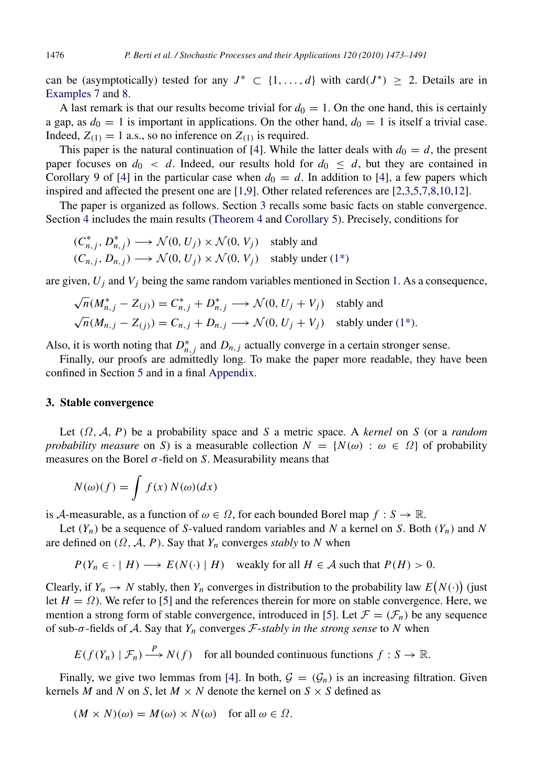can be (asymptotically) tested for any  $J^* \subset \{1, ..., d\}$  with card $(J^*) \geq 2$ . Details are in [Examples 7](#page-7-0) and [8.](#page-8-0)

A last remark is that our results become trivial for  $d_0 = 1$ . On the one hand, this is certainly a gap, as  $d_0 = 1$  is important in applications. On the other hand,  $d_0 = 1$  is itself a trivial case. Indeed,  $Z_{(1)} = 1$  a.s., so no inference on  $Z_{(1)}$  is required.

This paper is the natural continuation of [\[4\]](#page-17-0). While the latter deals with  $d_0 = d$ , the present paper focuses on  $d_0 < d$ . Indeed, our results hold for  $d_0 \leq d$ , but they are contained in Corollary 9 of [\[4\]](#page-17-0) in the particular case when  $d_0 = d$ . In addition to [4], a few papers which inspired and affected the present one are [\[1](#page-17-1)[,9\]](#page-18-0). Other related references are [\[2](#page-17-2)[,3,](#page-17-3)[5,](#page-17-4)[7,](#page-17-5)[8,](#page-18-1)[10,](#page-18-2)[12\]](#page-18-3).

The paper is organized as follows. Section [3](#page-3-0) recalls some basic facts on stable convergence. Section [4](#page-4-1) includes the main results [\(Theorem 4](#page-5-0) and [Corollary 5\)](#page-6-0). Precisely, conditions for

$$
(C_{n,j}^*, D_{n,j}^*) \longrightarrow \mathcal{N}(0, U_j) \times \mathcal{N}(0, V_j) \text{ stably and}
$$
  

$$
(C_{n,j}, D_{n,j}) \longrightarrow \mathcal{N}(0, U_j) \times \mathcal{N}(0, V_j) \text{ stably under (1*)}
$$

are given,  $U_i$  and  $V_j$  being the same random variables mentioned in Section [1.](#page-1-0) As a consequence,

$$
\sqrt{n}(M_{n,j}^* - Z_{(j)}) = C_{n,j}^* + D_{n,j}^* \longrightarrow \mathcal{N}(0, U_j + V_j) \text{ stably and}
$$
  

$$
\sqrt{n}(M_{n,j} - Z_{(j)}) = C_{n,j} + D_{n,j} \longrightarrow \mathcal{N}(0, U_j + V_j) \text{ stably under (1*)}.
$$

Also, it is worth noting that  $D_{n,j}^*$  and  $D_{n,j}$  actually converge in a certain stronger sense.

Finally, our proofs are admittedly long. To make the paper more readable, they have been confined in Section [5](#page-9-0) and in a final [Appendix.](#page-14-0)

#### <span id="page-3-0"></span>3. Stable convergence

Let (Ω, A, *P*) be a probability space and *S* a metric space. A *kernel* on *S* (or a *random probability measure* on *S*) is a measurable collection  $N = \{N(\omega) : \omega \in \Omega\}$  of probability measures on the Borel  $\sigma$ -field on *S*. Measurability means that

$$
N(\omega)(f) = \int f(x) N(\omega)(dx)
$$

is A-measurable, as a function of  $\omega \in \Omega$ , for each bounded Borel map  $f : S \to \mathbb{R}$ .

Let  $(Y_n)$  be a sequence of *S*-valued random variables and *N* a kernel on *S*. Both  $(Y_n)$  and *N* are defined on  $(\Omega, \mathcal{A}, P)$ . Say that  $Y_n$  converges *stably* to *N* when

$$
P(Y_n \in \cdot | H) \longrightarrow E(N(\cdot) | H)
$$
 weakly for all  $H \in \mathcal{A}$  such that  $P(H) > 0$ .

Clearly, if  $Y_n \to N$  stably, then  $Y_n$  converges in distribution to the probability law  $E(N(\cdot))$  (just let  $H = \Omega$ ). We refer to [\[5\]](#page-17-4) and the references therein for more on stable convergence. Here, we mention a strong form of stable convergence, introduced in [\[5\]](#page-17-4). Let  $\mathcal{F} = (\mathcal{F}_n)$  be any sequence of sub-σ-fields of A. Say that *Y<sup>n</sup>* converges F-*stably in the strong sense* to *N* when

 $E(f(Y_n) | \mathcal{F}_n) \stackrel{P}{\longrightarrow} N(f)$  for all bounded continuous functions  $f : S \to \mathbb{R}$ .

Finally, we give two lemmas from [\[4\]](#page-17-0). In both,  $G = (G_n)$  is an increasing filtration. Given kernels *M* and *N* on *S*, let  $M \times N$  denote the kernel on  $S \times S$  defined as

$$
(M \times N)(\omega) = M(\omega) \times N(\omega) \quad \text{for all } \omega \in \Omega.
$$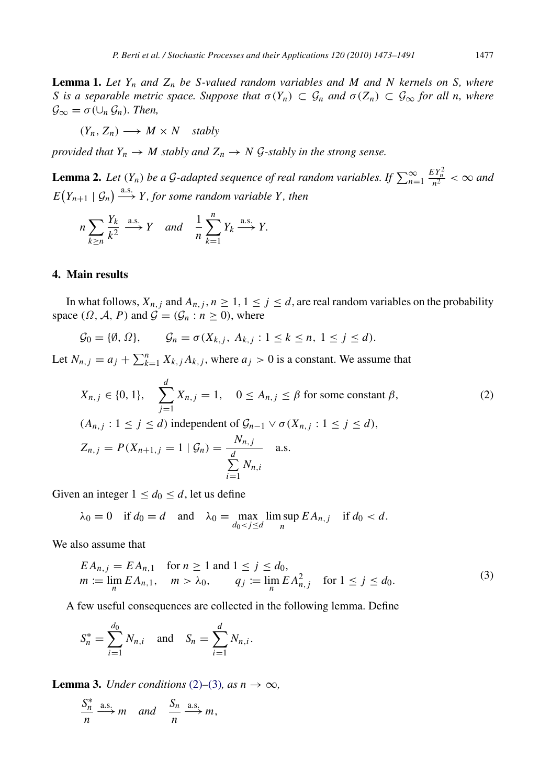<span id="page-4-4"></span>**Lemma 1.** Let  $Y_n$  and  $Z_n$  be S-valued random variables and M and N kernels on S, where *S* is a separable metric space. Suppose that  $\sigma(Y_n) \subset \mathcal{G}_n$  and  $\sigma(Z_n) \subset \mathcal{G}_{\infty}$  for all n, where  $\mathcal{G}_{\infty} = \sigma(\cup_n \mathcal{G}_n)$ . Then,

<span id="page-4-5"></span>
$$
(Y_n, Z_n) \longrightarrow M \times N \quad stably
$$

*provided that*  $Y_n \to M$  *stably and*  $Z_n \to N$  *G*-*stably in the strong sense.* 

**Lemma 2.** Let  $(Y_n)$  be a G-adapted sequence of real random variables. If  $\sum_{n=1}^{\infty}$  $\frac{EY_n^2}{n^2} < \infty$  and  $E(Y_{n+1} | \mathcal{G}_n) \stackrel{\text{a.s.}}{\longrightarrow} Y$ , for some random variable Y, then

$$
n\sum_{k\geq n}\frac{Y_k}{k^2}\stackrel{\text{a.s.}}{\longrightarrow} Y \quad \text{and} \quad \frac{1}{n}\sum_{k=1}^n Y_k \stackrel{\text{a.s.}}{\longrightarrow} Y.
$$

# <span id="page-4-1"></span>4. Main results

In what follows,  $X_{n,j}$  and  $A_{n,j}$ ,  $n \geq 1$ ,  $1 \leq j \leq d$ , are real random variables on the probability space  $(\Omega, \mathcal{A}, P)$  and  $\mathcal{G} = (\mathcal{G}_n : n \ge 0)$ , where

$$
\mathcal{G}_0 = \{ \emptyset, \Omega \}, \qquad \mathcal{G}_n = \sigma(X_{k,j}, A_{k,j} : 1 \le k \le n, 1 \le j \le d).
$$

Let  $N_{n,j} = a_j + \sum_{k=1}^n X_{k,j} A_{k,j}$ , where  $a_j > 0$  is a constant. We assume that

<span id="page-4-2"></span>
$$
X_{n,j} \in \{0, 1\}, \quad \sum_{j=1}^{d} X_{n,j} = 1, \quad 0 \le A_{n,j} \le \beta \text{ for some constant } \beta,
$$
  
\n
$$
(A_{n,j} : 1 \le j \le d) \text{ independent of } \mathcal{G}_{n-1} \vee \sigma(X_{n,j} : 1 \le j \le d),
$$
  
\n
$$
Z_{n,j} = P(X_{n+1,j} = 1 | \mathcal{G}_n) = \frac{N_{n,j}}{\sum_{i=1}^{d} N_{n,i}} \quad \text{a.s.}
$$
\n(2)

Given an integer  $1 \leq d_0 \leq d$ , let us define

$$
\lambda_0 = 0
$$
 if  $d_0 = d$  and  $\lambda_0 = \max_{d_0 < j \le d} \limsup_n E A_{n,j}$  if  $d_0 < d$ .

We also assume that

<span id="page-4-3"></span>
$$
EA_{n,j} = EA_{n,1} \quad \text{for } n \ge 1 \text{ and } 1 \le j \le d_0, m := \lim_{n} EA_{n,1}, \quad m > \lambda_0, \qquad q_j := \lim_{n} EA_{n,j}^2 \quad \text{for } 1 \le j \le d_0.
$$
 (3)

A few useful consequences are collected in the following lemma. Define

$$
S_n^* = \sum_{i=1}^{d_0} N_{n,i}
$$
 and  $S_n = \sum_{i=1}^{d} N_{n,i}$ .

**Lemma 3.** *Under conditions* [\(2\)](#page-4-2)–[\(3\)](#page-4-3)*, as*  $n \to \infty$ *,* 

<span id="page-4-0"></span>
$$
\frac{S_n^*}{n} \xrightarrow{a.s.} m \quad and \quad \frac{S_n}{n} \xrightarrow{a.s.} m,
$$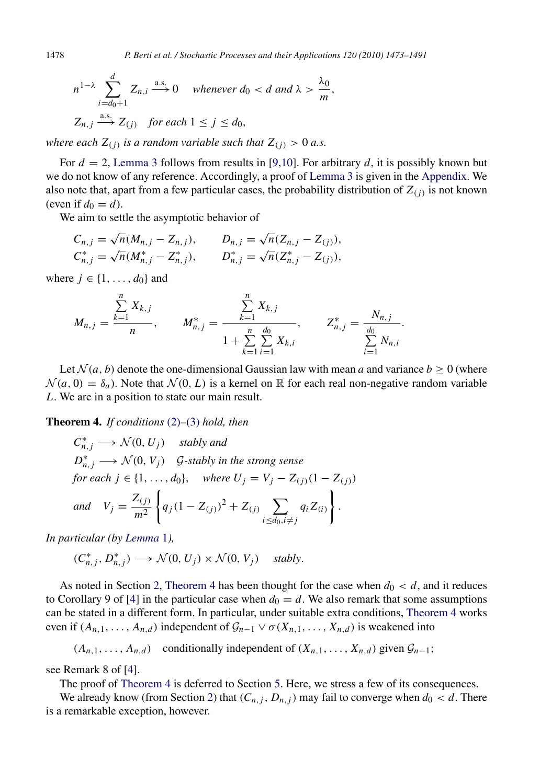$$
n^{1-\lambda} \sum_{i=d_0+1}^{d} Z_{n,i} \xrightarrow{a.s.} 0 \quad \text{whenever } d_0 < d \text{ and } \lambda > \frac{\lambda_0}{m},
$$
\n
$$
Z_{n,j} \xrightarrow{a.s.} Z_{(j)} \quad \text{for each } 1 \le j \le d_0,
$$

*where each Z*(*j*) *is a random variable such that Z*(*j*) > 0 *a.s.*

For  $d = 2$ , [Lemma 3](#page-4-0) follows from results in [\[9,](#page-18-0)[10\]](#page-18-2). For arbitrary d, it is possibly known but we do not know of any reference. Accordingly, a proof of [Lemma 3](#page-4-0) is given in the [Appendix.](#page-14-0) We also note that, apart from a few particular cases, the probability distribution of  $Z_{(j)}$  is not known (even if  $d_0 = d$ ).

We aim to settle the asymptotic behavior of

$$
C_{n,j} = \sqrt{n}(M_{n,j} - Z_{n,j}), \qquad D_{n,j} = \sqrt{n}(Z_{n,j} - Z_{(j)}),
$$
  
\n
$$
C_{n,j}^* = \sqrt{n}(M_{n,j}^* - Z_{n,j}^*), \qquad D_{n,j}^* = \sqrt{n}(Z_{n,j}^* - Z_{(j)}),
$$

where  $j \in \{1, \ldots, d_0\}$  and

$$
M_{n,j} = \frac{\sum_{k=1}^{n} X_{k,j}}{n}, \qquad M_{n,j}^{*} = \frac{\sum_{k=1}^{n} X_{k,j}}{1 + \sum_{k=1}^{n} \sum_{i=1}^{d_0} X_{k,i}}, \qquad Z_{n,j}^{*} = \frac{N_{n,j}}{\sum_{i=1}^{d_0} N_{n,i}}.
$$

Let  $\mathcal{N}(a, b)$  denote the one-dimensional Gaussian law with mean *a* and variance  $b \geq 0$  (where  $\mathcal{N}(a, 0) = \delta_a$ ). Note that  $\mathcal{N}(0, L)$  is a kernel on R for each real non-negative random variable *L*. We are in a position to state our main result.

Theorem 4. *If conditions* [\(2\)](#page-4-2)*–*[\(3\)](#page-4-3) *hold, then*

<span id="page-5-0"></span>
$$
C_{n,j}^* \longrightarrow \mathcal{N}(0, U_j) \quad \text{stably and}
$$
  
\n
$$
D_{n,j}^* \longrightarrow \mathcal{N}(0, V_j) \quad \text{G-stably in the strong sense}
$$
  
\nfor each  $j \in \{1, ..., d_0\}$ , where  $U_j = V_j - Z_{(j)}(1 - Z_{(j)})$   
\nand 
$$
V_j = \frac{Z_{(j)}}{m^2} \left\{ q_j (1 - Z_{(j)})^2 + Z_{(j)} \sum_{i \le d_0, i \ne j} q_i Z_{(i)} \right\}.
$$

*In particular (by [Lemma](#page-4-4)* 1*),*

$$
(C_{n,j}^*, D_{n,j}^*) \longrightarrow \mathcal{N}(0, U_j) \times \mathcal{N}(0, V_j) \quad \text{stably.}
$$

As noted in Section [2,](#page-2-2) [Theorem 4](#page-5-0) has been thought for the case when  $d_0 < d$ , and it reduces to Corollary 9 of [\[4\]](#page-17-0) in the particular case when  $d_0 = d$ . We also remark that some assumptions can be stated in a different form. In particular, under suitable extra conditions, [Theorem 4](#page-5-0) works even if  $(A_{n,1}, \ldots, A_{n,d})$  independent of  $G_{n-1} \vee \sigma(X_{n,1}, \ldots, X_{n,d})$  is weakened into

 $(A_{n,1}, \ldots, A_{n,d})$  conditionally independent of  $(X_{n,1}, \ldots, X_{n,d})$  given  $\mathcal{G}_{n-1}$ ;

see Remark 8 of [\[4\]](#page-17-0).

The proof of [Theorem 4](#page-5-0) is deferred to Section [5.](#page-9-0) Here, we stress a few of its consequences.

We already know (from Section [2\)](#page-2-2) that  $(C_{n,j}, D_{n,j})$  may fail to converge when  $d_0 < d$ . There is a remarkable exception, however.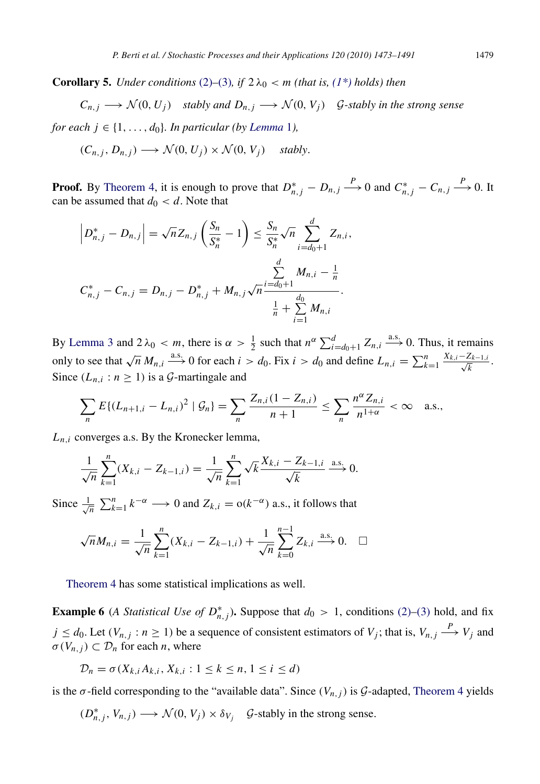**Corollary 5.** *Under conditions* [\(2\)](#page-4-2)–[\(3\)](#page-4-3)*, if*  $2\lambda_0 < m$  *(that is, [\(1\\*\)](#page-2-1) holds) then* 

<span id="page-6-0"></span>
$$
C_{n,j} \longrightarrow \mathcal{N}(0, U_j)
$$
 stably and  $D_{n,j} \longrightarrow \mathcal{N}(0, V_j)$  *G*-stably in the strong sense

*for each*  $j \in \{1, \ldots, d_0\}$ *. In particular (by [Lemma](#page-4-4) 1),* 

$$
(C_{n,j}, D_{n,j}) \longrightarrow \mathcal{N}(0, U_j) \times \mathcal{N}(0, V_j) \quad \text{stably.}
$$

**Proof.** By [Theorem 4,](#page-5-0) it is enough to prove that  $D_{n,j}^* - D_{n,j} \stackrel{P}{\longrightarrow} 0$  and  $C_{n,j}^* - C_{n,j} \stackrel{P}{\longrightarrow} 0$ . It can be assumed that  $d_0 < d$ . Note that

$$
\left| D_{n,j}^* - D_{n,j} \right| = \sqrt{n} Z_{n,j} \left( \frac{S_n}{S_n^*} - 1 \right) \le \frac{S_n}{S_n^*} \sqrt{n} \sum_{i=d_0+1}^d Z_{n,i},
$$
  

$$
C_{n,j}^* - C_{n,j} = D_{n,j} - D_{n,j}^* + M_{n,j} \sqrt{n} \frac{\sum_{i=d_0+1}^d M_{n,i} - \frac{1}{n}}{\frac{1}{n} + \sum_{i=1}^d M_{n,i}}.
$$

By [Lemma 3](#page-4-0) and  $2\lambda_0 < m$ , there is  $\alpha > \frac{1}{2}$  such that  $n^{\alpha} \sum_{i=d_0+1}^{d} Z_{n,i} \stackrel{a.s.}{\longrightarrow} 0$ . Thus, it remains only to see that  $\sqrt{n} M_{n,i} \stackrel{\text{a.s.}}{\longrightarrow} 0$  for each  $i > d_0$ . Fix  $i > d_0$  and define  $L_{n,i} = \sum_{k=1}^n \frac{X_{k,i} - Z_{k-1,i}}{\sqrt{k}}$  $\frac{L_{k-1,i}}{\overline{k}}$ . Since  $(L_{n,i}: n \ge 1)$  is a  $\mathcal{G}$ -martingale and

$$
\sum_{n} E\{(L_{n+1,i} - L_{n,i})^2 \mid \mathcal{G}_n\} = \sum_{n} \frac{Z_{n,i}(1 - Z_{n,i})}{n+1} \le \sum_{n} \frac{n^{\alpha} Z_{n,i}}{n^{1+\alpha}} < \infty \quad \text{a.s.},
$$

 $L_{n,i}$  converges a.s. By the Kronecker lemma,

$$
\frac{1}{\sqrt{n}}\sum_{k=1}^{n}(X_{k,i}-Z_{k-1,i})=\frac{1}{\sqrt{n}}\sum_{k=1}^{n}\sqrt{k}\frac{X_{k,i}-Z_{k-1,i}}{\sqrt{k}}\xrightarrow{a.s.}0.
$$

Since  $\frac{1}{4}$  $\frac{1}{n} \sum_{k=1}^{n} k^{-\alpha} \longrightarrow 0$  and  $Z_{k,i} = o(k^{-\alpha})$  a.s., it follows that

$$
\sqrt{n}M_{n,i} = \frac{1}{\sqrt{n}}\sum_{k=1}^{n}(X_{k,i} - Z_{k-1,i}) + \frac{1}{\sqrt{n}}\sum_{k=0}^{n-1}Z_{k,i} \stackrel{\text{a.s.}}{\longrightarrow} 0. \quad \Box
$$

<span id="page-6-1"></span>[Theorem 4](#page-5-0) has some statistical implications as well.

**Example 6** (*A Statistical Use of D*<sup>\*</sup><sub>*n*</sub>,*j*). Suppose that  $d_0 > 1$ , conditions [\(2\)](#page-4-2)[–\(3\)](#page-4-3) hold, and fix  $j \leq d_0$ . Let  $(V_{n,j}: n \geq 1)$  be a sequence of consistent estimators of  $V_j$ ; that is,  $V_{n,j} \stackrel{P}{\longrightarrow} V_j$  and  $\sigma(V_{n,j}) \subset \mathcal{D}_n$  for each *n*, where

$$
\mathcal{D}_n = \sigma(X_{k,i}A_{k,i}, X_{k,i} : 1 \le k \le n, 1 \le i \le d)
$$

is the  $\sigma$ -field corresponding to the "available data". Since  $(V_{n,j})$  is G-adapted, [Theorem 4](#page-5-0) yields

$$
(D_{n,j}^*, V_{n,j}) \longrightarrow \mathcal{N}(0, V_j) \times \delta_{V_j}
$$
 *G*-stably in the strong sense.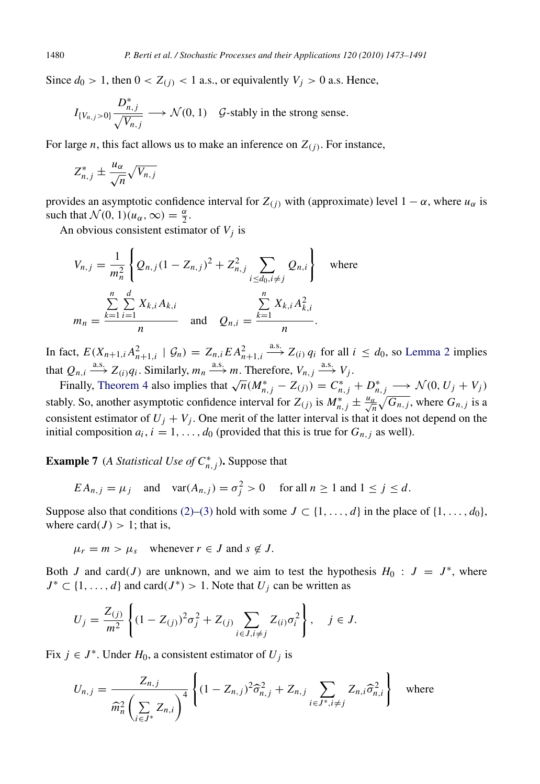Since  $d_0 > 1$ , then  $0 < Z_{(i)} < 1$  a.s., or equivalently  $V_i > 0$  a.s. Hence,

$$
I_{\{V_{n,j}>0\}} \frac{D_{n,j}^*}{\sqrt{V_{n,j}}} \longrightarrow \mathcal{N}(0, 1) \quad \mathcal{G}\text{-stably in the strong sense.}
$$

For large *n*, this fact allows us to make an inference on *Z*(*j*) . For instance,

$$
Z_{n,j}^* \pm \frac{u_{\alpha}}{\sqrt{n}} \sqrt{V_{n,j}}
$$

provides an asymptotic confidence interval for  $Z(i)$  with (approximate) level  $1 - \alpha$ , where  $u_{\alpha}$  is such that  $\mathcal{N}(0, 1)(u_{\alpha}, \infty) = \frac{\alpha}{2}$ .

An obvious consistent estimator of *V<sup>j</sup>* is

$$
V_{n,j} = \frac{1}{m_n^2} \left\{ Q_{n,j} (1 - Z_{n,j})^2 + Z_{n,j}^2 \sum_{i \le d_0, i \ne j} Q_{n,i} \right\} \text{ where}
$$
  

$$
m_n = \frac{\sum_{k=1}^n \sum_{i=1}^d X_{k,i} A_{k,i}}{n} \text{ and } Q_{n,i} = \frac{\sum_{k=1}^n X_{k,i} A_{k,i}^2}{n}.
$$

In fact,  $E(X_{n+1,i}A_{n+1,i}^2 \mid \mathcal{G}_n) = Z_{n,i}E A_{n+1,i}^2$  $\xrightarrow{a.s.} Z_{(i)} q_i$  for all  $i \leq d_0$ , so [Lemma 2](#page-4-5) implies that  $Q_{n,i} \stackrel{\text{a.s.}}{\longrightarrow} Z_{(i)}q_i$ . Similarly,  $m_n \stackrel{\text{a.s.}}{\longrightarrow} m$ . Therefore,  $V_{n,j} \stackrel{\text{a.s.}}{\longrightarrow} V_j$ .

Finally, [Theorem 4](#page-5-0) also implies that  $\sqrt{n}(M_{n,j}^* - Z_{(j)}) = C_{n,j}^* + D_{n,j}^* \longrightarrow \mathcal{N}(0, U_j + V_j)$ stably. So, another asymptotic confidence interval for  $Z_{(j)}$  is  $M_{n,j}^* \pm \frac{u_\alpha}{\sqrt{n}} \sqrt{G_{n,j}}$ , where  $G_{n,j}$  is a consistent estimator of  $U_j + V_j$ . One merit of the latter interval is that it does not depend on the initial composition  $a_i$ ,  $i = 1, ..., d_0$  (provided that this is true for  $G_{n,j}$  as well).

**Example 7** (*A Statistical Use of*  $C_{n,j}^*$ ). Suppose that

<span id="page-7-0"></span>
$$
EA_{n,j} = \mu_j
$$
 and  $var(A_{n,j}) = \sigma_j^2 > 0$  for all  $n \ge 1$  and  $1 \le j \le d$ .

Suppose also that conditions [\(2\)](#page-4-2)[–\(3\)](#page-4-3) hold with some  $J \subset \{1, \ldots, d\}$  in the place of  $\{1, \ldots, d_0\}$ , where card $(J) > 1$ ; that is,

$$
\mu_r = m > \mu_s
$$
 whenever  $r \in J$  and  $s \notin J$ .

Both *J* and card(*J*) are unknown, and we aim to test the hypothesis  $H_0$ :  $J = J^*$ , where  $J^* \subset \{1, ..., d\}$  and card $(J^*) > 1$ . Note that  $U_j$  can be written as

$$
U_j = \frac{Z_{(j)}}{m^2} \left\{ (1 - Z_{(j)})^2 \sigma_j^2 + Z_{(j)} \sum_{i \in J, i \neq j} Z_{(i)} \sigma_i^2 \right\}, \quad j \in J.
$$

Fix  $j \in J^*$ . Under  $H_0$ , a consistent estimator of  $U_j$  is

$$
U_{n,j} = \frac{Z_{n,j}}{\widehat{m}_n^2 \left(\sum_{i \in J^*} Z_{n,i}\right)^4} \left\{ (1 - Z_{n,j})^2 \widehat{\sigma}_{n,j}^2 + Z_{n,j} \sum_{i \in J^*, i \neq j} Z_{n,i} \widehat{\sigma}_{n,i}^2 \right\} \text{ where}
$$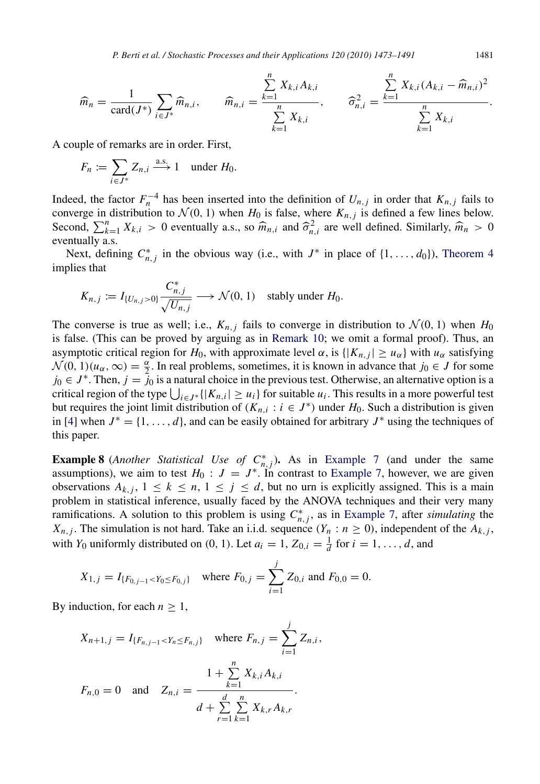$$
\widehat{m}_n = \frac{1}{\text{card}(J^*)} \sum_{i \in J^*} \widehat{m}_{n,i}, \qquad \widehat{m}_{n,i} = \frac{\sum_{k=1}^n X_{k,i} A_{k,i}}{\sum_{k=1}^n X_{k,i}}, \qquad \widehat{\sigma}_{n,i}^2 = \frac{\sum_{k=1}^n X_{k,i} (A_{k,i} - \widehat{m}_{n,i})^2}{\sum_{k=1}^n X_{k,i}}.
$$

A couple of remarks are in order. First,

$$
F_n := \sum_{i \in J^*} Z_{n,i} \xrightarrow{a.s.} 1 \quad \text{under } H_0.
$$

Indeed, the factor  $F_n^{-4}$  has been inserted into the definition of  $U_{n,j}$  in order that  $K_{n,j}$  fails to converge in distribution to  $\mathcal{N}(0, 1)$  when  $H_0$  is false, where  $K_{n,j}$  is defined a few lines below. Second,  $\sum_{k=1}^{n} X_{k,i} > 0$  eventually a.s., so  $\widehat{m}_{n,i}$  and  $\widehat{\sigma}_{n,i}^2$  are well defined. Similarly,  $\widehat{m}_n > 0$ eventually a.s.

Next, defining  $C_{n,j}^*$  in the obvious way (i.e., with  $J^*$  in place of  $\{1, \ldots, d_0\}$ ), [Theorem 4](#page-5-0) implies that

$$
K_{n,j} := I_{\{U_{n,j} > 0\}} \frac{C_{n,j}^*}{\sqrt{U_{n,j}}} \longrightarrow \mathcal{N}(0, 1) \quad \text{stably under } H_0.
$$

The converse is true as well; i.e.,  $K_{n,i}$  fails to converge in distribution to  $\mathcal{N}(0, 1)$  when  $H_0$ is false. (This can be proved by arguing as in [Remark 10;](#page-13-0) we omit a formal proof). Thus, an asymptotic critical region for *H*<sub>0</sub>, with approximate level  $\alpha$ , is  $\{|K_{n,j}| \geq u_\alpha\}$  with  $u_\alpha$  satisfying  $\mathcal{N}(0, 1)(u_{\alpha}, \infty) = \frac{\alpha}{2}$ . In real problems, sometimes, it is known in advance that *j*<sub>0</sub>  $\in$  *J* for some  $j_0 \in J^*$ . Then,  $j = j_0$  is a natural choice in the previous test. Otherwise, an alternative option is a critical region of the type  $\bigcup_{i \in J^*} \{|K_{n,i}| \ge u_i\}$  for suitable  $u_i$ . This results in a more powerful test but requires the joint limit distribution of  $(K_{n,i}: i \in J^*)$  under  $H_0$ . Such a distribution is given in [\[4\]](#page-17-0) when  $J^* = \{1, \ldots, d\}$ , and can be easily obtained for arbitrary  $J^*$  using the techniques of this paper.

<span id="page-8-0"></span>**Example 8** (*Another Statistical Use of*  $C_{n,j}^*$ ). As in [Example 7](#page-7-0) (and under the same assumptions), we aim to test  $H_0: J = J^*$ . In contrast to [Example 7,](#page-7-0) however, we are given observations  $A_{k,j}$ ,  $1 \leq k \leq n$ ,  $1 \leq j \leq d$ , but no urn is explicitly assigned. This is a main problem in statistical inference, usually faced by the ANOVA techniques and their very many ramifications. A solution to this problem is using  $C^*_{n,j}$ , as in [Example 7,](#page-7-0) after *simulating* the *X*<sub>*n*</sub>,*j*. The simulation is not hard. Take an i.i.d. sequence  $(Y_n : n \ge 0)$ , independent of the  $A_{k,j}$ , with  $Y_0$  uniformly distributed on  $(0, 1)$ . Let  $a_i = 1, Z_{0,i} = \frac{1}{d}$  for  $i = 1, \ldots, d$ , and

$$
X_{1,j} = I_{\{F_{0,j-1} < Y_0 \le F_{0,j}\}}
$$
 where  $F_{0,j} = \sum_{i=1}^j Z_{0,i}$  and  $F_{0,0} = 0$ .

By induction, for each  $n > 1$ ,

$$
X_{n+1,j} = I_{\{F_{n,j-1} < Y_n \le F_{n,j}\}} \quad \text{where } F_{n,j} = \sum_{i=1}^j Z_{n,i},
$$
\n
$$
F_{n,0} = 0 \quad \text{and} \quad Z_{n,i} = \frac{1 + \sum_{k=1}^n X_{k,i} A_{k,i}}{d + \sum_{r=1}^d \sum_{k=1}^n X_{k,r} A_{k,r}}.
$$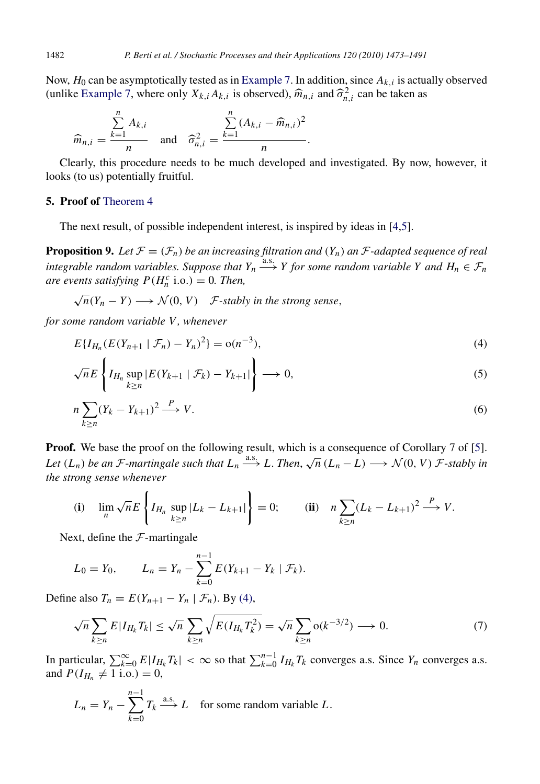Now, *H*<sup>0</sup> can be asymptotically tested as in [Example 7.](#page-7-0) In addition, since *Ak*,*<sup>i</sup>* is actually observed (unlike [Example 7,](#page-7-0) where only  $X_{k,i}A_{k,i}$  is observed),  $\widehat{m}_{n,i}$  and  $\widehat{\sigma}_{n,i}^2$  can be taken as

$$
\widehat{m}_{n,i} = \frac{\sum_{k=1}^{n} A_{k,i}}{n} \quad \text{and} \quad \widehat{\sigma}_{n,i}^{2} = \frac{\sum_{k=1}^{n} (A_{k,i} - \widehat{m}_{n,i})^{2}}{n}.
$$

Clearly, this procedure needs to be much developed and investigated. By now, however, it looks (to us) potentially fruitful.

## <span id="page-9-0"></span>5. Proof of [Theorem 4](#page-5-0)

<span id="page-9-5"></span>The next result, of possible independent interest, is inspired by ideas in [\[4](#page-17-0)[,5\]](#page-17-4).

**Proposition 9.** Let  $\mathcal{F} = (\mathcal{F}_n)$  be an increasing filtration and  $(Y_n)$  an  $\mathcal{F}$ -adapted sequence of real integrable random variables. Suppose that  $Y_n \stackrel{a.s.}{\longrightarrow} Y$  for some random variable Y and  $H_n \in \mathcal{F}_n$ *are events satisfying*  $P(H_n^c \text{ i.o.}) = 0$ *. Then,* 

 $\sqrt{n}(Y_n - Y) \longrightarrow \mathcal{N}(0, V)$  *F-stably in the strong sense*,

*for some random variable V , whenever*

<span id="page-9-1"></span>
$$
E\{I_{H_n}(E(Y_{n+1} \mid \mathcal{F}_n) - Y_n)^2\} = o(n^{-3}),\tag{4}
$$

<span id="page-9-3"></span>
$$
\sqrt{n}E\left\{I_{H_n}\sup_{k\geq n}|E(Y_{k+1} \mid \mathcal{F}_k) - Y_{k+1}|\right\} \longrightarrow 0,
$$
\n(5)

<span id="page-9-4"></span>
$$
n\sum_{k\geq n}(Y_k - Y_{k+1})^2 \xrightarrow{P} V.
$$
\n<sup>(6)</sup>

**Proof.** We base the proof on the following result, which is a consequence of Corollary 7 of [\[5\]](#page-17-4). *Let*  $(L_n)$  *be an F*-*martingale such that*  $L_n \xrightarrow{as.} L$ . *Then*,  $\sqrt{n} (L_n - L) \longrightarrow \mathcal{N}(0, V)$  *F*-*stably in the strong sense whenever*

(i) 
$$
\lim_{n} \sqrt{n} E \left\{ I_{H_n} \sup_{k \ge n} |L_k - L_{k+1}| \right\} = 0;
$$
 (ii)  $n \sum_{k \ge n} (L_k - L_{k+1})^2 \xrightarrow{P} V.$ 

Next, define the  $\mathcal{F}$ -martingale

$$
L_0 = Y_0, \qquad L_n = Y_n - \sum_{k=0}^{n-1} E(Y_{k+1} - Y_k | \mathcal{F}_k).
$$

Define also  $T_n = E(Y_{n+1} - Y_n | \mathcal{F}_n)$ . By [\(4\),](#page-9-1)

<span id="page-9-2"></span>
$$
\sqrt{n}\sum_{k\geq n}E|I_{H_k}T_k|\leq \sqrt{n}\sum_{k\geq n}\sqrt{E(I_{H_k}T_k^2)}=\sqrt{n}\sum_{k\geq n}\mathrm{o}(k^{-3/2})\longrightarrow 0.\tag{7}
$$

In particular,  $\sum_{k=0}^{\infty} E|I_{H_k}T_k| < \infty$  so that  $\sum_{k=0}^{n-1} I_{H_k}T_k$  converges a.s. Since  $Y_n$  converges a.s. and  $P(I_{H_n} \neq 1 \text{ i.o.}) = 0$ ,

$$
L_n = Y_n - \sum_{k=0}^{n-1} T_k \xrightarrow{\text{a.s.}} L \quad \text{for some random variable } L.
$$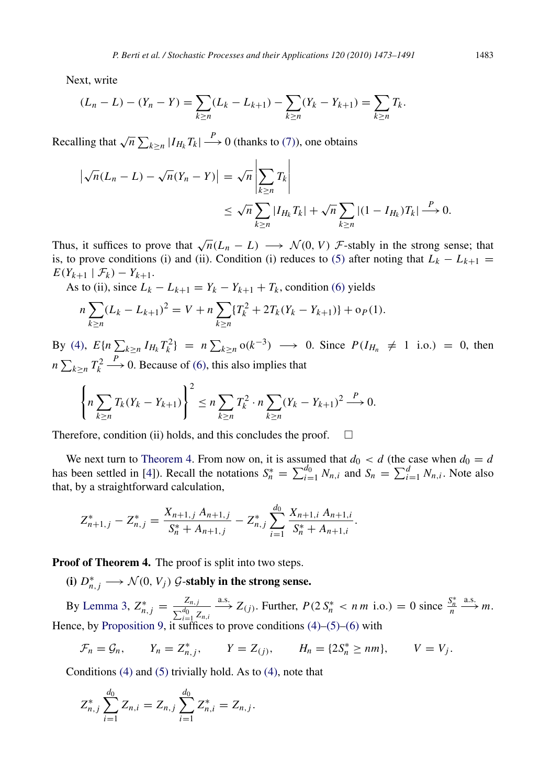Next, write

$$
(L_n - L) - (Y_n - Y) = \sum_{k \ge n} (L_k - L_{k+1}) - \sum_{k \ge n} (Y_k - Y_{k+1}) = \sum_{k \ge n} T_k.
$$

Recalling that  $\sqrt{n} \sum_{k \ge n} |I_{H_k}T_k| \longrightarrow 0$  (thanks to [\(7\)\)](#page-9-2), one obtains

$$
\left|\sqrt{n}(L_n - L) - \sqrt{n}(Y_n - Y)\right| = \sqrt{n}\left|\sum_{k \ge n} T_k\right|
$$
  

$$
\leq \sqrt{n}\sum_{k \ge n} |I_{H_k}T_k| + \sqrt{n}\sum_{k \ge n} |(1 - I_{H_k})T_k| \stackrel{P}{\longrightarrow} 0.
$$

Thus, it suffices to prove that  $\sqrt{n}(L_n - L) \longrightarrow \mathcal{N}(0, V)$  *F*-stably in the strong sense; that is, to prove conditions (i) and (ii). Condition (i) reduces to [\(5\)](#page-9-3) after noting that  $L_k - L_{k+1} =$  $E(Y_{k+1} | \mathcal{F}_k) - Y_{k+1}.$ 

As to (ii), since  $L_k - L_{k+1} = Y_k - Y_{k+1} + T_k$ , condition [\(6\)](#page-9-4) yields

$$
n\sum_{k\geq n}(L_k - L_{k+1})^2 = V + n\sum_{k\geq n}\{T_k^2 + 2T_k(Y_k - Y_{k+1})\} + o_P(1).
$$

By [\(4\),](#page-9-1)  $E\{n\sum_{k\geq n} I_{H_k} T_k^2\} = n \sum_{k\geq n} o(k^{-3}) \longrightarrow 0$ . Since  $P(I_{H_n} \neq 1 \text{ i.o.}) = 0$ , then *n*  $\sum_{k\geq n} T_k^2$  $\stackrel{P}{\longrightarrow}$  0. Because of [\(6\),](#page-9-4) this also implies that

$$
\left\{ n \sum_{k \ge n} T_k (Y_k - Y_{k+1}) \right\}^2 \le n \sum_{k \ge n} T_k^2 \cdot n \sum_{k \ge n} (Y_k - Y_{k+1})^2 \stackrel{P}{\longrightarrow} 0.
$$

Therefore, condition (ii) holds, and this concludes the proof.  $\Box$ 

We next turn to [Theorem 4.](#page-5-0) From now on, it is assumed that  $d_0 < d$  (the case when  $d_0 = d$ has been settled in [\[4\]](#page-17-0)). Recall the notations  $S_n^* = \sum_{i=1}^{d_0} N_{n,i}$  and  $S_n = \sum_{i=1}^{d} N_{n,i}$ . Note also that, by a straightforward calculation,

$$
Z_{n+1,j}^* - Z_{n,j}^* = \frac{X_{n+1,j} A_{n+1,j}}{S_n^* + A_{n+1,j}} - Z_{n,j}^* \sum_{i=1}^{d_0} \frac{X_{n+1,i} A_{n+1,i}}{S_n^* + A_{n+1,i}}.
$$

Proof of Theorem 4. The proof is split into two steps.

(i)  $D_{n,j}^* \longrightarrow \mathcal{N}(0, V_j)$   $\mathcal{G}\text{-stably in the strong sense.}$ 

By [Lemma 3,](#page-4-0)  $Z_{n,j}^* = \frac{Z_{n,j}}{\nabla^{d_0} Z_{n,j}}$  $\sum_{i=1}^{d_0} Z_{n,i}$  $\xrightarrow{a.s.} Z_{(j)}$ . Further,  $P(2 S_n^* < n m \text{ i.o.}) = 0$  since  $\frac{S_n^*}{n}$  $\xrightarrow{a.s.} m.$ Hence, by [Proposition 9,](#page-9-5) it suffices to prove conditions  $(4)$ – $(5)$ – $(6)$  with

$$
\mathcal{F}_n = \mathcal{G}_n, \qquad Y_n = Z_{n,j}^*, \qquad Y = Z_{(j)}, \qquad H_n = \{2S_n^* \geq nm\}, \qquad V = V_j.
$$

Conditions [\(4\)](#page-9-1) and [\(5\)](#page-9-3) trivially hold. As to [\(4\),](#page-9-1) note that

$$
Z_{n,j}^* \sum_{i=1}^{d_0} Z_{n,i} = Z_{n,j} \sum_{i=1}^{d_0} Z_{n,i}^* = Z_{n,j}.
$$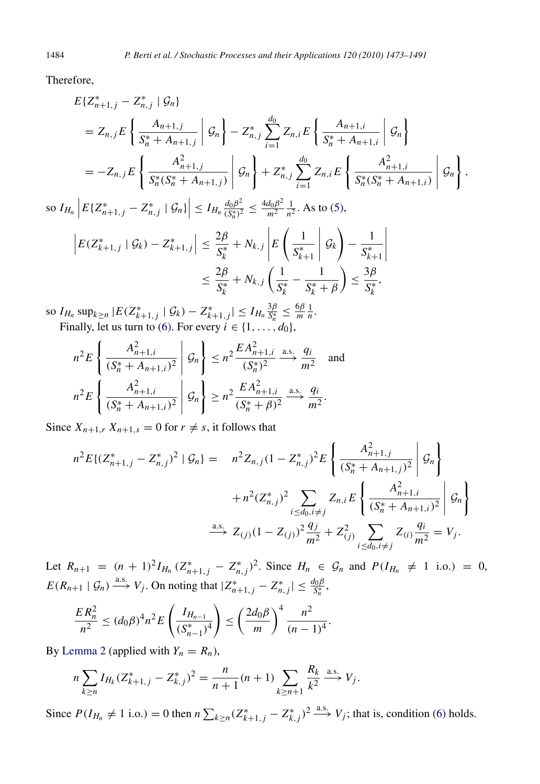Therefore,

$$
E\{Z_{n+1,j}^* - Z_{n,j}^* \mid \mathcal{G}_n\}
$$
  
=  $Z_{n,j}E\left\{\frac{A_{n+1,j}}{S_n^* + A_{n+1,j}} \middle| \mathcal{G}_n\right\} - Z_{n,j}^*\sum_{i=1}^{d_0} Z_{n,i}E\left\{\frac{A_{n+1,i}}{S_n^* + A_{n+1,i}} \middle| \mathcal{G}_n\right\}$   
=  $-Z_{n,j}E\left\{\frac{A_{n+1,j}^2}{S_n^*(S_n^* + A_{n+1,j})} \middle| \mathcal{G}_n\right\} + Z_{n,j}^*\sum_{i=1}^{d_0} Z_{n,i}E\left\{\frac{A_{n+1,i}^2}{S_n^*(S_n^* + A_{n+1,i})} \middle| \mathcal{G}_n\right\},$ 

so  $I_{H_n} \left| E \{ Z_{n+1,j}^* - Z_{n,j}^* \mid \mathcal{G}_n \} \right| \leq I_{H_n} \frac{d_0 \beta^2}{(S_n^*)^2}$  $\frac{d_0 \beta^2}{(S_n^*)^2} \leq \frac{4d_0 \beta^2}{m^2}$  $rac{d_0\beta^2}{m^2}$   $\frac{1}{n^2}$  $\frac{1}{n^2}$ . As to [\(5\),](#page-9-3)

$$
\left| E(Z_{k+1,j}^* \mid \mathcal{G}_k) - Z_{k+1,j}^* \right| \leq \frac{2\beta}{S_k^*} + N_{k,j} \left| E\left(\frac{1}{S_{k+1}^*} \mid \mathcal{G}_k\right) - \frac{1}{S_{k+1}^*} \right|
$$
  

$$
\leq \frac{2\beta}{S_k^*} + N_{k,j} \left(\frac{1}{S_k^*} - \frac{1}{S_k^* + \beta}\right) \leq \frac{3\beta}{S_k^*},
$$

so  $I_{H_n}$  sup<sub> $k \ge n$ </sub>  $|E(Z_{k+1,j}^*| \mathcal{G}_k) - Z_{k+1,j}^*| \le I_{H_n} \frac{3\beta}{S_n^*}$  $\frac{3\beta}{S_n^*} \leq \frac{6\beta}{m}$  $\frac{5\beta}{m}$  $\frac{1}{n}$ . Finally, let us turn to [\(6\).](#page-9-4) For every  $i \in \{1, \ldots, d_0\}$ ,

$$
n^2 E\left\{\frac{A_{n+1,i}^2}{(S_n^* + A_{n+1,i})^2} \middle| \mathcal{G}_n\right\} \le n^2 \frac{E A_{n+1,i}^2}{(S_n^*)^2} \xrightarrow{a.s.} \frac{q_i}{m^2} \text{ and}
$$
  

$$
n^2 E\left\{\frac{A_{n+1,i}^2}{(S_n^* + A_{n+1,i})^2} \middle| \mathcal{G}_n\right\} \ge n^2 \frac{E A_{n+1,i}^2}{(S_n^* + \beta)^2} \xrightarrow{a.s.} \frac{q_i}{m^2}.
$$

Since  $X_{n+1,r} X_{n+1,s} = 0$  for  $r \neq s$ , it follows that

$$
n^{2} E\{(Z_{n+1,j}^{*}-Z_{n,j}^{*})^{2} | \mathcal{G}_{n}\} = n^{2} Z_{n,j} (1-Z_{n,j}^{*})^{2} E\left\{\frac{A_{n+1,j}^{2}}{(S_{n}^{*}+A_{n+1,j})^{2}} | \mathcal{G}_{n}\right\}
$$

$$
+ n^{2} (Z_{n,j}^{*})^{2} \sum_{i \leq d_{0}, i \neq j} Z_{n,i} E\left\{\frac{A_{n+1,i}^{2}}{(S_{n}^{*}+A_{n+1,i})^{2}} | \mathcal{G}_{n}\right\}
$$

$$
\xrightarrow{\text{a.s.}} Z_{(j)} (1-Z_{(j)})^{2} \frac{q_{j}}{m^{2}} + Z_{(j)}^{2} \sum_{i \leq d_{0}, i \neq j} Z_{(i)} \frac{q_{i}}{m^{2}} = V_{j}.
$$

Let  $R_{n+1} = (n+1)^2 I_{H_n} (Z_{n+1,j}^* - Z_{n,j}^*)^2$ . Since  $H_n \in \mathcal{G}_n$  and  $P(I_{H_n} \neq 1$  i.o.) = 0,  $E(R_{n+1} | \mathcal{G}_n) \stackrel{\text{a.s.}}{\longrightarrow} V_j$ . On noting that  $|Z^*_{n+1,j} - Z^*_{n,j}| \leq \frac{d_0 \beta}{S^*_{n}}$ ,

$$
\frac{ER_n^2}{n^2} \le (d_0\beta)^4 n^2 E\left(\frac{I_{H_{n-1}}}{(S_{n-1}^*)^4}\right) \le \left(\frac{2d_0\beta}{m}\right)^4 \frac{n^2}{(n-1)^4}.
$$

By [Lemma 2](#page-4-5) (applied with  $Y_n = R_n$ ),

$$
n\sum_{k\geq n} I_{H_k}(Z_{k+1,j}^* - Z_{k,j}^*)^2 = \frac{n}{n+1}(n+1)\sum_{k\geq n+1} \frac{R_k}{k^2} \xrightarrow{\text{a.s.}} V_j.
$$

Since  $P(I_{H_n} \neq 1 \text{ i.o.}) = 0$  then  $n \sum_{k \ge n} (Z_{k+1,j}^* - Z_{k,j}^*)^2 \stackrel{\text{a.s.}}{\longrightarrow} V_j$ ; that is, condition [\(6\)](#page-9-4) holds.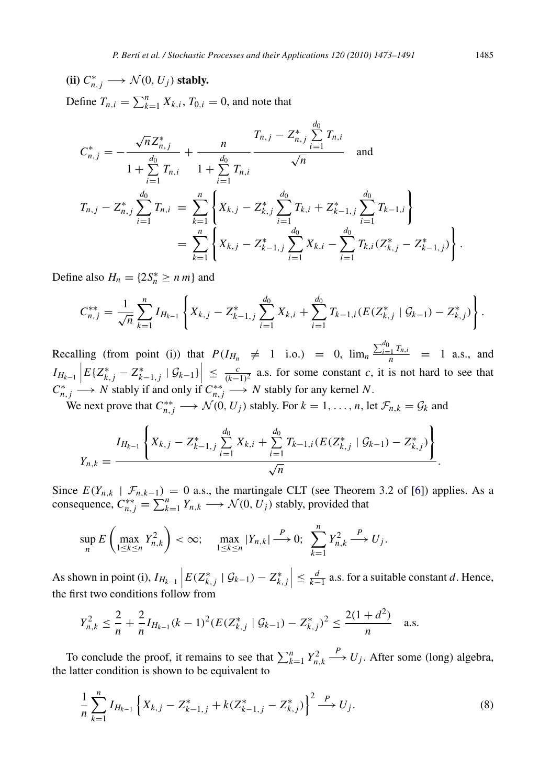(ii)  $C_{n,j}^* \longrightarrow \mathcal{N}(0, U_j)$  stably. Define  $T_{n,i} = \sum_{k=1}^{n} X_{k,i}$ ,  $T_{0,i} = 0$ , and note that

$$
C_{n,j}^{*} = -\frac{\sqrt{n}Z_{n,j}^{*}}{1 + \sum_{i=1}^{d_0} T_{n,i}} + \frac{n}{1 + \sum_{i=1}^{d_0} T_{n,i}} \frac{T_{n,j} - Z_{n,j}^{*} \sum_{i=1}^{d_0} T_{n,i}}{\sqrt{n}} \text{ and}
$$
  
\n
$$
T_{n,j} - Z_{n,j}^{*} \sum_{i=1}^{d_0} T_{n,i} = \sum_{k=1}^{n} \left\{ X_{k,j} - Z_{k,j}^{*} \sum_{i=1}^{d_0} T_{k,i} + Z_{k-1,j}^{*} \sum_{i=1}^{d_0} T_{k-1,i} \right\}
$$
  
\n
$$
= \sum_{k=1}^{n} \left\{ X_{k,j} - Z_{k-1,j}^{*} \sum_{i=1}^{d_0} X_{k,i} - \sum_{i=1}^{d_0} T_{k,i} (Z_{k,j}^{*} - Z_{k-1,j}^{*}) \right\}.
$$

Define also  $H_n = \{2S_n^* \ge n \, m\}$  and

$$
C_{n,j}^{**} = \frac{1}{\sqrt{n}} \sum_{k=1}^n I_{H_{k-1}} \left\{ X_{k,j} - Z_{k-1,j}^* \sum_{i=1}^{d_0} X_{k,i} + \sum_{i=1}^{d_0} T_{k-1,i} (E(Z_{k,j}^* \mid \mathcal{G}_{k-1}) - Z_{k,j}^*) \right\}.
$$

Recalling (from point (i)) that  $P(I_{H_n} \neq 1 \text{ i.o.}) = 0$ ,  $\lim_{n} \frac{\sum_{i=1}^{d_0} T_{n,i}}{n} = 1 \text{ a.s., and}$  $I_{H_{k-1}}\left|E\{Z_{k,j}^* - Z_{k-1,j}^* | \mathcal{G}_{k-1}\}\right| \leq \frac{c}{(k-1)^2}$  a.s. for some constant *c*, it is not hard to see that  $C_{n,j}^* \longrightarrow N$  stably if and only if  $C_{n,j}^{**} \longrightarrow N$  stably for any kernel *N*.

We next prove that  $C_{n,j}^{**} \longrightarrow \mathcal{N}(0, U_j)$  stably. For  $k = 1, \ldots, n$ , let  $\mathcal{F}_{n,k} = \mathcal{G}_k$  and

$$
Y_{n,k} = \frac{I_{H_{k-1}}\left\{X_{k,j}-Z_{k-1,j}^*\sum_{i=1}^{d_0}X_{k,i}+\sum_{i=1}^{d_0}T_{k-1,i}(E(Z_{k,j}^* \mid \mathcal{G}_{k-1})-Z_{k,j}^*)\right\}}{\sqrt{n}}.
$$

Since  $E(Y_{n,k} | \mathcal{F}_{n,k-1}) = 0$  a.s., the martingale CLT (see Theorem 3.2 of [\[6\]](#page-17-6)) applies. As a consequence,  $C_{n,j}^{**} = \sum_{k=1}^n Y_{n,k} \longrightarrow \mathcal{N}(0, U_j)$  stably, provided that

$$
\sup_{n} E\left(\max_{1\leq k\leq n} Y_{n,k}^{2}\right) < \infty; \quad \max_{1\leq k\leq n} |Y_{n,k}| \stackrel{P}{\longrightarrow} 0; \quad \sum_{k=1}^{n} Y_{n,k}^{2} \stackrel{P}{\longrightarrow} U_{j}.
$$

As shown in point (i),  $I_{H_{k-1}}\left|E(Z_{k,j}^* | \mathcal{G}_{k-1}) - Z_{k,j}^*\right| \leq \frac{d}{k-1}$  a.s. for a suitable constant *d*. Hence, the first two conditions follow from

$$
Y_{n,k}^2 \le \frac{2}{n} + \frac{2}{n} I_{H_{k-1}}(k-1)^2 (E(Z_{k,j}^* \mid \mathcal{G}_{k-1}) - Z_{k,j}^*)^2 \le \frac{2(1+d^2)}{n} \quad \text{a.s.}
$$

To conclude the proof, it remains to see that  $\sum_{k=1}^{n} Y_{n,k}^2$  $\stackrel{P}{\longrightarrow} U_j$ . After some (long) algebra, the latter condition is shown to be equivalent to

<span id="page-12-0"></span>
$$
\frac{1}{n}\sum_{k=1}^{n}I_{H_{k-1}}\left\{X_{k,j}-Z_{k-1,j}^{*}+k(Z_{k-1,j}^{*}-Z_{k,j}^{*})\right\}^{2}\stackrel{P}{\longrightarrow}U_{j}.
$$
\n(8)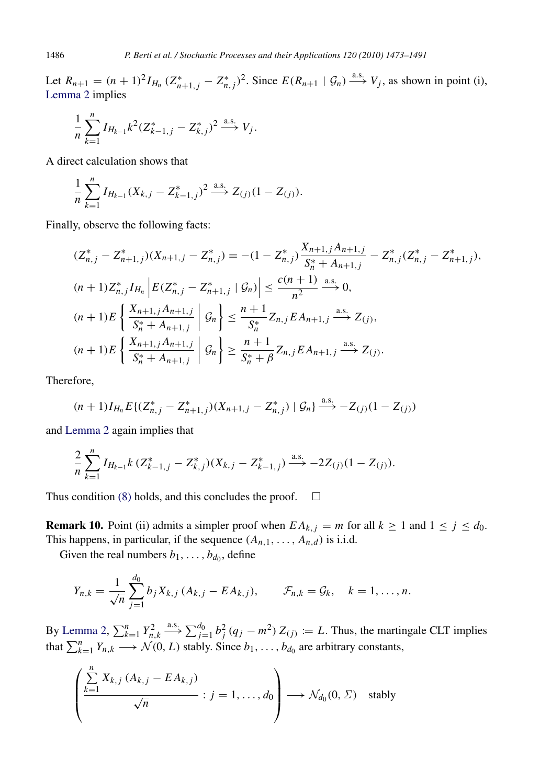Let  $R_{n+1} = (n+1)^2 I_{H_n} (Z_{n+1,j}^* - Z_{n,j}^*)^2$ . Since  $E(R_{n+1} | \mathcal{G}_n) \xrightarrow{a.s.} V_j$ , as shown in point (i), [Lemma 2](#page-4-5) implies

$$
\frac{1}{n}\sum_{k=1}^n I_{H_{k-1}}k^2 (Z_{k-1,j}^* - Z_{k,j}^*)^2 \stackrel{\text{a.s.}}{\longrightarrow} V_j.
$$

A direct calculation shows that

$$
\frac{1}{n}\sum_{k=1}^n I_{H_{k-1}}(X_{k,j}-Z_{k-1,j}^*)^2 \xrightarrow{a.s.} Z_{(j)}(1-Z_{(j)}).
$$

Finally, observe the following facts:

$$
(Z_{n,j}^{*} - Z_{n+1,j}^{*})(X_{n+1,j} - Z_{n,j}^{*}) = -(1 - Z_{n,j}^{*}) \frac{X_{n+1,j}A_{n+1,j}}{S_{n}^{*} + A_{n+1,j}} - Z_{n,j}^{*}(Z_{n,j}^{*} - Z_{n+1,j}^{*}),
$$
  
\n
$$
(n+1)Z_{n,j}^{*}I_{H_{n}}\left|E(Z_{n,j}^{*} - Z_{n+1,j}^{*} | \mathcal{G}_{n})\right| \leq \frac{c(n+1)}{n^{2}} \xrightarrow{as} 0,
$$
  
\n
$$
(n+1)E\left\{\frac{X_{n+1,j}A_{n+1,j}}{S_{n}^{*} + A_{n+1,j}} | \mathcal{G}_{n}\right\} \leq \frac{n+1}{S_{n}^{*}}Z_{n,j}EA_{n+1,j} \xrightarrow{as} Z_{(j)},
$$
  
\n
$$
(n+1)E\left\{\frac{X_{n+1,j}A_{n+1,j}}{S_{n}^{*} + A_{n+1,j}} | \mathcal{G}_{n}\right\} \geq \frac{n+1}{S_{n}^{*} + \beta}Z_{n,j}EA_{n+1,j} \xrightarrow{as} Z_{(j)}.
$$

Therefore,

$$
(n+1)I_{H_n}E\{(Z_{n,j}^*-Z_{n+1,j}^*)(X_{n+1,j}-Z_{n,j}^*)\mid \mathcal{G}_n\}\stackrel{\text{a.s.}}{\longrightarrow}-Z_{(j)}(1-Z_{(j)})
$$

and [Lemma 2](#page-4-5) again implies that

$$
\frac{2}{n}\sum_{k=1}^n I_{H_{k-1}}k\left(Z_{k-1,j}^* - Z_{k,j}^*\right)(X_{k,j} - Z_{k-1,j}^*) \xrightarrow{\text{a.s.}} -2Z_{(j)}(1 - Z_{(j)}).
$$

Thus condition [\(8\)](#page-12-0) holds, and this concludes the proof.  $\square$ 

**Remark 10.** Point (ii) admits a simpler proof when  $EA_{k,j} = m$  for all  $k \ge 1$  and  $1 \le j \le d_0$ . This happens, in particular, if the sequence  $(A_{n,1}, \ldots, A_{n,d})$  is i.i.d.

<span id="page-13-0"></span>Given the real numbers  $b_1, \ldots, b_{d_0}$ , define

$$
Y_{n,k} = \frac{1}{\sqrt{n}} \sum_{j=1}^{d_0} b_j X_{k,j} (A_{k,j} - E A_{k,j}), \qquad \mathcal{F}_{n,k} = \mathcal{G}_k, \quad k = 1, \ldots, n.
$$

By [Lemma 2,](#page-4-5)  $\sum_{k=1}^{n} Y_{n,k}^2$  $\stackrel{\text{a.s.}}{\longrightarrow} \sum_{j=1}^{d_0} b_j^2 (q_j - m^2) Z_{(j)} \coloneqq L$ . Thus, the martingale CLT implies that  $\sum_{k=1}^{n} Y_{n,k} \longrightarrow \mathcal{N}(0, L)$  stably. Since  $b_1, \ldots, b_{d_0}$  are arbitrary constants,

$$
\left(\frac{\sum_{k=1}^{n} X_{k,j} (A_{k,j} - EA_{k,j})}{\sqrt{n}} : j = 1, ..., d_0\right) \longrightarrow \mathcal{N}_{d_0}(0, \Sigma) \text{ stably}
$$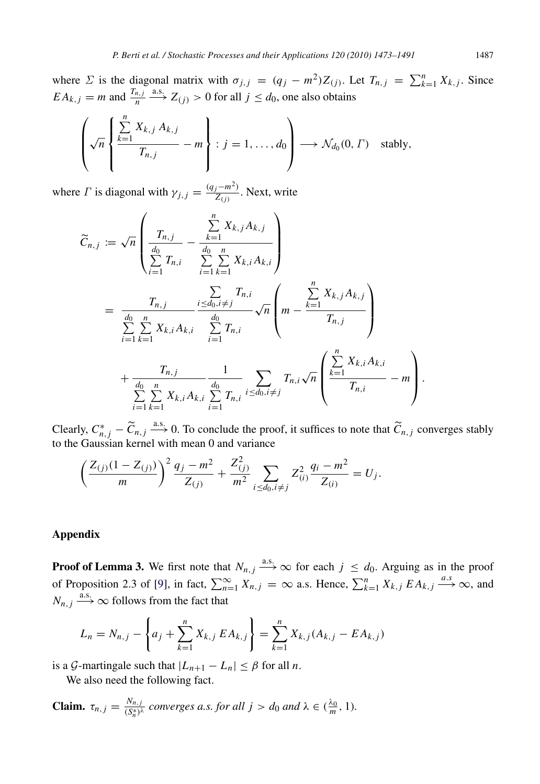where  $\Sigma$  is the diagonal matrix with  $\sigma_{j,j} = (q_j - m^2)Z_{(j)}$ . Let  $T_{n,j} = \sum_{k=1}^n X_{k,j}$ . Since  $EA_{k,j} = m$  and  $\frac{T_{n,j}}{n}$  $\xrightarrow{a.s.} Z_{(j)} > 0$  for all  $j \leq d_0$ , one also obtains

$$
\left(\sqrt{n}\left\{\frac{\sum\limits_{k=1}^n X_{k,j} A_{k,j}}{T_{n,j}} - m\right\} : j = 1, ..., d_0\right) \longrightarrow \mathcal{N}_{d_0}(0, \Gamma) \text{ stably,}
$$

where  $\Gamma$  is diagonal with  $\gamma_{j,j} = \frac{(q_j - m^2)}{Z_{(j)}}$  $\frac{Z^{(m)}(z)}{Z(z)}$ . Next, write

$$
\widetilde{C}_{n,j} := \sqrt{n} \left( \frac{T_{n,j}}{\sum_{i=1}^{d_0} T_{n,i}} - \frac{\sum_{k=1}^{n} X_{k,j} A_{k,j}}{\sum_{i=1}^{d_0} \sum_{k=1}^{n} X_{k,i} A_{k,i}} \right)
$$
\n
$$
= \frac{T_{n,j}}{\sum_{i=1}^{d_0} \sum_{k=1}^{n} X_{k,i} A_{k,i}} \frac{\sum_{i \leq d_0, i \neq j}^{n} T_{n,i}}{\sum_{i=1}^{d_0} T_{n,i}} \sqrt{n} \left( m - \frac{\sum_{k=1}^{n} X_{k,j} A_{k,j}}{T_{n,j}} \right)
$$
\n
$$
+ \frac{T_{n,j}}{\sum_{i=1}^{d_0} \sum_{k=1}^{n} X_{k,i} A_{k,i}} \frac{1}{\sum_{i=1}^{d_0} T_{n,i}} \sum_{i \leq d_0, i \neq j} T_{n,i} \sqrt{n} \left( \frac{\sum_{k=1}^{n} X_{k,i} A_{k,i}}{T_{n,i}} - m \right).
$$

Clearly,  $C_{n,j}^* - \widetilde{C}_{n,j} \stackrel{\text{a.s.}}{\longrightarrow} 0$ . To conclude the proof, it suffices to note that  $\widetilde{C}_{n,j}$  converges stably to the Gaussian kernel with mean 0 and variance

$$
\left(\frac{Z_{(j)}(1-Z_{(j)})}{m}\right)^2\frac{q_j-m^2}{Z_{(j)}}+\frac{Z_{(j)}^2}{m^2}\sum_{i\leq d_0,i\neq j}Z_{(i)}^2\frac{q_i-m^2}{Z_{(i)}}=U_j.
$$

# <span id="page-14-0"></span>Appendix

**Proof of Lemma 3.** We first note that  $N_{n,j} \stackrel{\text{a.s.}}{\longrightarrow} \infty$  for each  $j \leq d_0$ . Arguing as in the proof of Proposition 2.3 of [\[9\]](#page-18-0), in fact,  $\sum_{n=1}^{\infty} X_{n,j} = \infty$  a.s. Hence,  $\sum_{k=1}^{n} X_{k,j} E A_{k,j} \stackrel{a.s}{\longrightarrow} \infty$ , and  $N_{n,j} \stackrel{\text{a.s.}}{\longrightarrow} \infty$  follows from the fact that

$$
L_n = N_{n,j} - \left\{ a_j + \sum_{k=1}^n X_{k,j} E A_{k,j} \right\} = \sum_{k=1}^n X_{k,j} (A_{k,j} - E A_{k,j})
$$

is a *G*-martingale such that  $|L_{n+1} - L_n| \leq \beta$  for all *n*.

We also need the following fact.

**Claim.** 
$$
\tau_{n,j} = \frac{N_{n,j}}{(S_n^*)^{\lambda}}
$$
 converges a.s. for all  $j > d_0$  and  $\lambda \in (\frac{\lambda_0}{m}, 1)$ .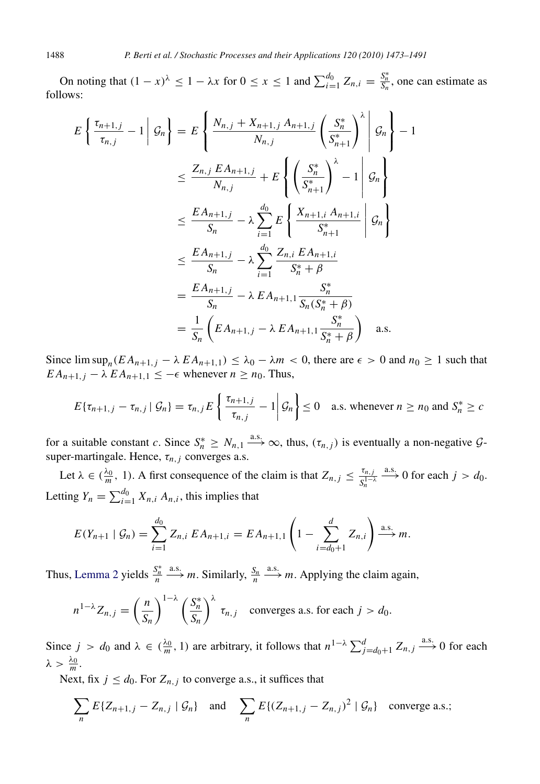On noting that  $(1 - x)^{\lambda} \leq 1 - \lambda x$  for  $0 \leq x \leq 1$  and  $\sum_{i=1}^{d_0} Z_{n,i} = \frac{S_n^*}{S_n}$ , one can estimate as follows:

$$
E\left\{\frac{\tau_{n+1,j}}{\tau_{n,j}} - 1 \middle| \mathcal{G}_n\right\} = E\left\{\frac{N_{n,j} + X_{n+1,j} A_{n+1,j}}{N_{n,j}} \left(\frac{S_n^*}{S_{n+1}^*}\right)^{\lambda} \middle| \mathcal{G}_n\right\} - 1
$$
  

$$
\leq \frac{Z_{n,j} E A_{n+1,j}}{N_{n,j}} + E\left\{\left(\frac{S_n^*}{S_{n+1}^*}\right)^{\lambda} - 1 \middle| \mathcal{G}_n\right\}
$$
  

$$
\leq \frac{E A_{n+1,j}}{S_n} - \lambda \sum_{i=1}^{d_0} E\left\{\frac{X_{n+1,i} A_{n+1,i}}{S_{n+1}^*} \middle| \mathcal{G}_n\right\}
$$
  

$$
\leq \frac{E A_{n+1,j}}{S_n} - \lambda \sum_{i=1}^{d_0} \frac{Z_{n,i} E A_{n+1,i}}{S_n^* + \beta}
$$
  

$$
= \frac{E A_{n+1,j}}{S_n} - \lambda E A_{n+1,1} \frac{S_n^*}{S_n (S_n^* + \beta)}
$$
  

$$
= \frac{1}{S_n} \left( E A_{n+1,j} - \lambda E A_{n+1,1} \frac{S_n^*}{S_n^* + \beta} \right) \text{ a.s.}
$$

Since  $\limsup_n (EA_{n+1,j} - \lambda EA_{n+1,1}) \leq \lambda_0 - \lambda m < 0$ , there are  $\epsilon > 0$  and  $n_0 \geq 1$  such that  $EA_{n+1,j} - \lambda EA_{n+1,1} \leq -\epsilon$  whenever  $n \geq n_0$ . Thus,

$$
E\{\tau_{n+1,j} - \tau_{n,j} | \mathcal{G}_n\} = \tau_{n,j} E\left\{\frac{\tau_{n+1,j}}{\tau_{n,j}} - 1 | \mathcal{G}_n\right\} \le 0 \quad \text{a.s. whenever } n \ge n_0 \text{ and } S_n^* \ge c
$$

for a suitable constant *c*. Since  $S_n^* \geq N_{n,1} \stackrel{a.s.}{\longrightarrow} \infty$ , thus,  $(\tau_{n,j})$  is eventually a non-negative  $\mathcal{G}$ super-martingale. Hence,  $\tau_{n,j}$  converges a.s.

Let  $\lambda \in (\frac{\lambda_0}{m}, 1)$ . A first consequence of the claim is that  $Z_{n,j} \leq \frac{\tau_{n,j}}{S_n^{1-j}}$  $S_n^{1-\lambda}$  $\xrightarrow{a.s.} 0$  for each  $j > d_0$ . Letting  $Y_n = \sum_{i=1}^{d_0} X_{n,i} A_{n,i}$ , this implies that

$$
E(Y_{n+1} | \mathcal{G}_n) = \sum_{i=1}^{d_0} Z_{n,i} E A_{n+1,i} = E A_{n+1,1} \left( 1 - \sum_{i=d_0+1}^{d} Z_{n,i} \right) \stackrel{\text{a.s.}}{\longrightarrow} m.
$$

Thus, [Lemma 2](#page-4-5) yields  $\frac{S_n^*}{n}$  $\xrightarrow{a.s.} m$ . Similarly,  $\frac{S_n}{n}$  $\xrightarrow{a.s.}$  *m*. Applying the claim again,

$$
n^{1-\lambda}Z_{n,j} = \left(\frac{n}{S_n}\right)^{1-\lambda} \left(\frac{S_n^*}{S_n}\right)^{\lambda} \tau_{n,j} \quad \text{converges a.s. for each } j > d_0.
$$

Since  $j > d_0$  and  $\lambda \in (\frac{\lambda_0}{m}, 1)$  are arbitrary, it follows that  $n^{1-\lambda} \sum_{j=d_0+1}^{d} Z_{n,j} \stackrel{a.s.}{\longrightarrow} 0$  for each  $\lambda > \frac{\lambda_0}{m}.$ 

Next, fix  $j \leq d_0$ . For  $Z_{n,j}$  to converge a.s., it suffices that

$$
\sum_{n} E\{Z_{n+1,j} - Z_{n,j} \mid \mathcal{G}_n\} \quad \text{and} \quad \sum_{n} E\{(Z_{n+1,j} - Z_{n,j})^2 \mid \mathcal{G}_n\} \quad \text{converge a.s.};
$$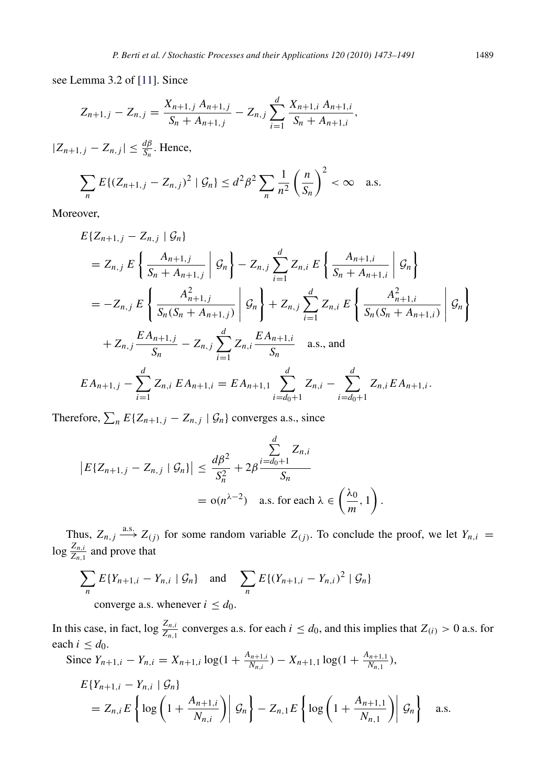see Lemma 3.2 of [\[11\]](#page-18-4). Since

$$
Z_{n+1,j} - Z_{n,j} = \frac{X_{n+1,j} A_{n+1,j}}{S_n + A_{n+1,j}} - Z_{n,j} \sum_{i=1}^d \frac{X_{n+1,i} A_{n+1,i}}{S_n + A_{n+1,i}},
$$

 $|Z_{n+1,j} - Z_{n,j}| \leq \frac{d\beta}{S_n}$ . Hence,

$$
\sum_{n} E\{(Z_{n+1,j} - Z_{n,j})^2 \mid \mathcal{G}_n\} \le d^2 \beta^2 \sum_{n} \frac{1}{n^2} \left(\frac{n}{S_n}\right)^2 < \infty \quad \text{a.s.}
$$

Moreover,

$$
E\{Z_{n+1,j} - Z_{n,j} | \mathcal{G}_n\}
$$
  
=  $Z_{n,j} E\left\{\frac{A_{n+1,j}}{S_n + A_{n+1,j}} | \mathcal{G}_n\right\} - Z_{n,j} \sum_{i=1}^d Z_{n,i} E\left\{\frac{A_{n+1,i}}{S_n + A_{n+1,i}} | \mathcal{G}_n\right\}$   
=  $-Z_{n,j} E\left\{\frac{A_{n+1,j}^2}{S_n (S_n + A_{n+1,j})} | \mathcal{G}_n\right\} + Z_{n,j} \sum_{i=1}^d Z_{n,i} E\left\{\frac{A_{n+1,i}^2}{S_n (S_n + A_{n+1,i})} | \mathcal{G}_n\right\}$   
+  $Z_{n,j} \frac{E A_{n+1,j}}{S_n} - Z_{n,j} \sum_{i=1}^d Z_{n,i} \frac{E A_{n+1,i}}{S_n} \text{ a.s., and}$   
 $E A_{n+1,j} - \sum_{i=1}^d Z_{n,i} E A_{n+1,i} = E A_{n+1,1} \sum_{i=d_0+1}^d Z_{n,i} - \sum_{i=d_0+1}^d Z_{n,i} E A_{n+1,i}.$ 

Therefore,  $\sum_{n} E\{Z_{n+1,j} - Z_{n,j} | \mathcal{G}_n\}$  converges a.s., since

$$
\begin{aligned} \left| E\{Z_{n+1,j} - Z_{n,j} \mid \mathcal{G}_n \} \right| &\leq \frac{d\beta^2}{S_n^2} + 2\beta \frac{\sum\limits_{i=d_0+1}^d Z_{n,i}}{S_n} \\ &= \mathrm{o}(n^{\lambda-2}) \quad \text{a.s. for each } \lambda \in \left(\frac{\lambda_0}{m}, 1\right). \end{aligned}
$$

Thus,  $Z_{n,j} \stackrel{\text{a.s.}}{\longrightarrow} Z_{(j)}$  for some random variable  $Z_{(j)}$ . To conclude the proof, we let  $Y_{n,i} =$  $\log \frac{Z_{n,i}}{Z_{n,1}}$  and prove that

$$
\sum_{n} E\{Y_{n+1,i} - Y_{n,i} \mid \mathcal{G}_n\} \text{ and } \sum_{n} E\{(Y_{n+1,i} - Y_{n,i})^2 \mid \mathcal{G}_n\}
$$
  
converge a.s. whenever  $i \le d_0$ .

In this case, in fact,  $\log \frac{Z_{n,i}}{Z_{n,1}}$  converges a.s. for each  $i \leq d_0$ , and this implies that  $Z_{(i)} > 0$  a.s. for each  $i \leq d_0$ .

Since 
$$
Y_{n+1,i} - Y_{n,i} = X_{n+1,i} \log(1 + \frac{A_{n+1,i}}{N_{n,i}}) - X_{n+1,1} \log(1 + \frac{A_{n+1,1}}{N_{n,1}}),
$$

$$
E\{Y_{n+1,i} - Y_{n,i} \mid \mathcal{G}_n\}
$$
  
=  $Z_{n,i}E\left\{\log\left(1 + \frac{A_{n+1,i}}{N_{n,i}}\right) \middle| \mathcal{G}_n\right\} - Z_{n,1}E\left\{\log\left(1 + \frac{A_{n+1,1}}{N_{n,1}}\right) \middle| \mathcal{G}_n\right\}$  a.s.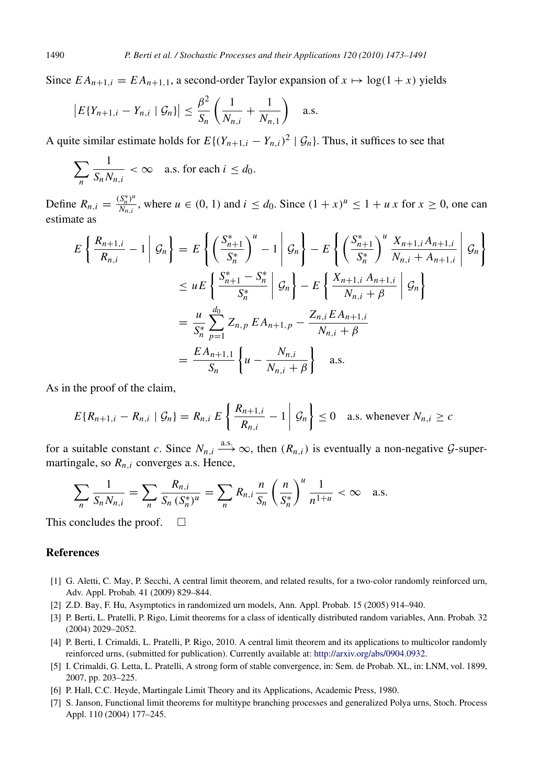Since  $EA_{n+1,i} = EA_{n+1,1}$ , a second-order Taylor expansion of  $x \mapsto log(1 + x)$  yields

$$
|E\{Y_{n+1,i} - Y_{n,i} | \mathcal{G}_n\}| \leq \frac{\beta^2}{S_n} \left( \frac{1}{N_{n,i}} + \frac{1}{N_{n,1}} \right)
$$
 a.s.

A quite similar estimate holds for  $E\{(Y_{n+1,i} - Y_{n,i})^2 | \mathcal{G}_n\}$ . Thus, it suffices to see that

$$
\sum_{n} \frac{1}{S_n N_{n,i}} < \infty \quad \text{a.s. for each } i \leq d_0.
$$

Define  $R_{n,i} = \frac{(S_n^*)^u}{N_{n,i}}$ *N<sub>n,i</sub>*</sup>, where  $u \in (0, 1)$  and  $i \le d_0$ . Since  $(1 + x)^u \le 1 + u x$  for  $x \ge 0$ , one can estimate as

$$
E\left\{\frac{R_{n+1,i}}{R_{n,i}} - 1 \middle| \mathcal{G}_n\right\} = E\left\{\left(\frac{S_{n+1}^*}{S_n^*}\right)^u - 1 \middle| \mathcal{G}_n\right\} - E\left\{\left(\frac{S_{n+1}^*}{S_n^*}\right)^u \frac{X_{n+1,i}A_{n+1,i}}{N_{n,i} + A_{n+1,i}} \middle| \mathcal{G}_n\right\}
$$
  

$$
\leq uE\left\{\frac{S_{n+1}^* - S_n^*}{S_n^*} \middle| \mathcal{G}_n\right\} - E\left\{\frac{X_{n+1,i}A_{n+1,i}}{N_{n,i} + \beta} \middle| \mathcal{G}_n\right\}
$$
  

$$
= \frac{u}{S_n^*} \sum_{p=1}^{d_0} Z_{n,p} E A_{n+1,p} - \frac{Z_{n,i} E A_{n+1,i}}{N_{n,i} + \beta}
$$
  

$$
= \frac{E A_{n+1,1}}{S_n} \left\{u - \frac{N_{n,i}}{N_{n,i} + \beta}\right\} \text{ a.s.}
$$

As in the proof of the claim,

$$
E\{R_{n+1,i} - R_{n,i} \mid \mathcal{G}_n\} = R_{n,i} E\left\{\left.\frac{R_{n+1,i}}{R_{n,i}} - 1\right| \mathcal{G}_n\right\} \le 0 \quad \text{a.s. whenever } N_{n,i} \ge c
$$

for a suitable constant *c*. Since  $N_{n,i} \xrightarrow{a.s.} \infty$ , then  $(R_{n,i})$  is eventually a non-negative  $\mathcal{G}$ -supermartingale, so  $R_{n,i}$  converges a.s. Hence,

$$
\sum_{n} \frac{1}{S_n N_{n,i}} = \sum_{n} \frac{R_{n,i}}{S_n (S_n^*)^u} = \sum_{n} R_{n,i} \frac{n}{S_n} \left(\frac{n}{S_n^*}\right)^u \frac{1}{n^{1+u}} < \infty \quad \text{a.s.}
$$

This concludes the proof.  $\square$ 

# **References**

- <span id="page-17-1"></span>[1] G. Aletti, C. May, P. Secchi, A central limit theorem, and related results, for a two-color randomly reinforced urn, Adv. Appl. Probab. 41 (2009) 829–844.
- <span id="page-17-2"></span>[2] Z.D. Bay, F. Hu, Asymptotics in randomized urn models, Ann. Appl. Probab. 15 (2005) 914–940.
- <span id="page-17-3"></span>[3] P. Berti, L. Pratelli, P. Rigo, Limit theorems for a class of identically distributed random variables, Ann. Probab. 32 (2004) 2029–2052.
- <span id="page-17-0"></span>[4] P. Berti, I. Crimaldi, L. Pratelli, P. Rigo, 2010. A central limit theorem and its applications to multicolor randomly reinforced urns, (submitted for publication). Currently available at: [http://arxiv.org/abs/0904.0932.](http://arxiv.org/abs/0904.0932)
- <span id="page-17-4"></span>[5] I. Crimaldi, G. Letta, L. Pratelli, A strong form of stable convergence, in: Sem. de Probab. XL, in: LNM, vol. 1899, 2007, pp. 203–225.
- <span id="page-17-6"></span>[6] P. Hall, C.C. Heyde, Martingale Limit Theory and its Applications, Academic Press, 1980.
- <span id="page-17-5"></span>[7] S. Janson, Functional limit theorems for multitype branching processes and generalized Polya urns, Stoch. Process Appl. 110 (2004) 177–245.